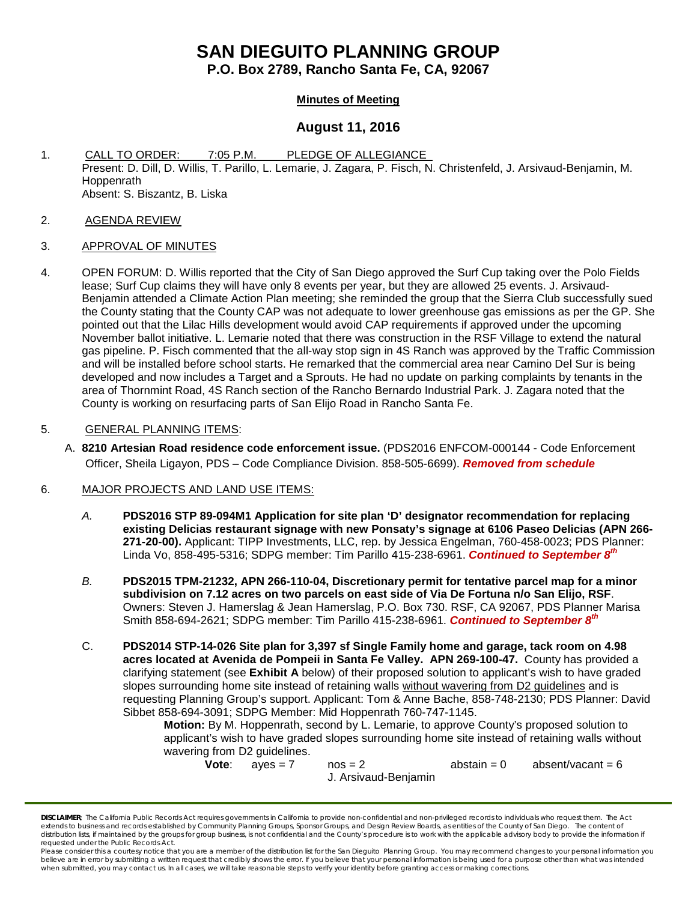# **SAN DIEGUITO PLANNING GROUP**

**P.O. Box 2789, Rancho Santa Fe, CA, 92067**

## **Minutes of Meeting**

## **August 11, 2016**

- 1. CALL TO ORDER: 7:05 P.M. PLEDGE OF ALLEGIANCE Present: D. Dill, D. Willis, T. Parillo, L. Lemarie, J. Zagara, P. Fisch, N. Christenfeld, J. Arsivaud-Benjamin, M. Hoppenrath Absent: S. Biszantz, B. Liska
- 2. AGENDA REVIEW
- 3. APPROVAL OF MINUTES
- 4. OPEN FORUM: D. Willis reported that the City of San Diego approved the Surf Cup taking over the Polo Fields lease; Surf Cup claims they will have only 8 events per year, but they are allowed 25 events. J. Arsivaud-Benjamin attended a Climate Action Plan meeting; she reminded the group that the Sierra Club successfully sued the County stating that the County CAP was not adequate to lower greenhouse gas emissions as per the GP. She pointed out that the Lilac Hills development would avoid CAP requirements if approved under the upcoming November ballot initiative. L. Lemarie noted that there was construction in the RSF Village to extend the natural gas pipeline. P. Fisch commented that the all-way stop sign in 4S Ranch was approved by the Traffic Commission and will be installed before school starts. He remarked that the commercial area near Camino Del Sur is being developed and now includes a Target and a Sprouts. He had no update on parking complaints by tenants in the area of Thornmint Road, 4S Ranch section of the Rancho Bernardo Industrial Park. J. Zagara noted that the County is working on resurfacing parts of San Elijo Road in Rancho Santa Fe.

### 5. GENERAL PLANNING ITEMS:

A. **8210 Artesian Road residence code enforcement issue.** (PDS2016 ENFCOM-000144 - Code Enforcement Officer, Sheila Ligayon, PDS – Code Compliance Division. 858-505-6699). *Removed from schedule*

#### 6. MAJOR PROJECTS AND LAND USE ITEMS:

- *A.* **PDS2016 STP 89-094M1 Application for site plan 'D' designator recommendation for replacing existing Delicias restaurant signage with new Ponsaty's signage at 6106 Paseo Delicias (APN 266- 271-20-00).** Applicant: TIPP Investments, LLC, rep. by Jessica Engelman, [760-458-0023;](tel:760-458-0023) PDS Planner: Linda Vo, [858-495-5316;](tel:858-495-5316) SDPG member: Tim Parillo [415-238-6961.](tel:415-238-6961) *Continued to September 8th*
- *B.* **PDS2015 TPM-21232, APN 266-110-04, Discretionary permit for tentative parcel map for a minor subdivision on 7.12 acres on two parcels on east side of Via De Fortuna n/o San Elijo, RSF**. Owners: Steven J. Hamerslag & Jean Hamerslag, P.O. Box 730. RSF, CA 92067, PDS Planner Marisa Smith 858-694-2621; SDPG member: Tim Parillo [415-238-6961.](tel:415-238-6961) *Continued to September 8th*
- C. **PDS2014 STP-14-026 Site plan for 3,397 sf Single Family home and garage, tack room on 4.98 acres located at Avenida de Pompeii in Santa Fe Valley. APN 269-100-47.** County has provided a clarifying statement (see **Exhibit A** below) of their proposed solution to applicant's wish to have graded slopes surrounding home site instead of retaining walls without wavering from D2 guidelines and is requesting Planning Group's support. Applicant: Tom & Anne Bache, 858-748-2130; PDS Planner: David Sibbet 858-694-3091; SDPG Member: Mid Hoppenrath 760-747-1145.

**Motion:** By M. Hoppenrath, second by L. Lemarie, to approve County's proposed solution to applicant's wish to have graded slopes surrounding home site instead of retaining walls without wavering from D2 guidelines.<br>**Vote**:  $a$ yes = 7

 $nos = 2$  abstain = 0 absent/vacant = 6 J. Arsivaud-Benjamin

*DISCLAIMER; The California Public Records Act requires governments in California to provide non-confidential and non-privileged records to individuals who request them. The Act*  extends to business and records established by Community Planning Groups, Sponsor Groups, and Design Review Boards, as entities of the County of San Diego. The content of *distribution lists, if maintained by the groups for group business, is not confidential and the County's procedure is to work with the applicable advisory body to provide the information if requested under the Public Records Act.*

Please consider this a courtesy notice that you are a member of the distribution list for the San Dieguito Planning Group. You may recommend changes to your personal information you believe are in error by submitting a written request that credibly shows the error. If you believe that your personal information is being used for a purpose other than what was intended<br>when submitted, you may contact us.